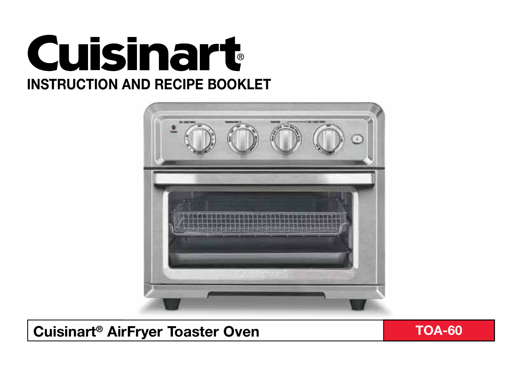



# **Cuisinart<sup>®</sup> AirFryer Toaster Oven TOA-60**

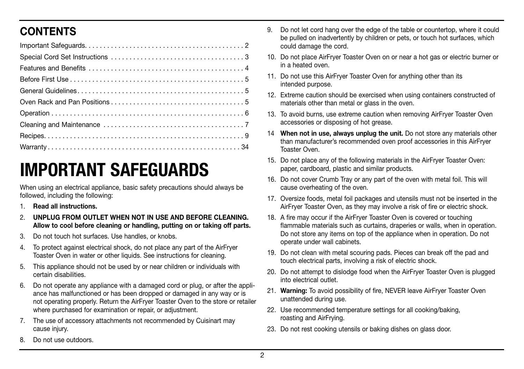# **CONTENTS**

# **IMPORTANT SAFEGUARDS**

When using an electrical appliance, basic safety precautions should always be followed, including the following:

- 1. **Read all instructions.**
- 2. **UNPLUG FROM OUTLET WHEN NOT IN USE AND BEFORE CLEANING. Allow to cool before cleaning or handling, putting on or taking off parts.**
- 3. Do not touch hot surfaces. Use handles, or knobs.
- To protect against electrical shock, do not place any part of the AirFryer Toaster Oven in water or other liquids. See instructions for cleaning.
- 5. This appliance should not be used by or near children or individuals with certain disabilities.
- 6. Do not operate any appliance with a damaged cord or plug, or after the appliance has malfunctioned or has been dropped or damaged in any way or is not operating properly. Return the AirFryer Toaster Oven to the store or retailer where purchased for examination or repair, or adjustment.
- 7. The use of accessory attachments not recommended by Cuisinart may cause injury.
- 8. Do not use outdoors.
- 9. Do not let cord hang over the edge of the table or countertop, where it could be pulled on inadvertently by children or pets, or touch hot surfaces, which could damage the cord.
- 10. Do not place AirFryer Toaster Oven on or near a hot gas or electric burner or in a heated oven.
- 11. Do not use this AirFryer Toaster Oven for anything other than its intended purpose.
- 12. Extreme caution should be exercised when using containers constructed of materials other than metal or glass in the oven.
- 13. To avoid burns, use extreme caution when removing AirFryer Toaster Oven accessories or disposing of hot grease.
- 14 **When not in use, always unplug the unit.** Do not store any materials other than manufacturer's recommended oven proof accessories in this AirFryer Toaster Oven.
- 15. Do not place any of the following materials in the AirFryer Toaster Oven: paper, cardboard, plastic and similar products.
- 16. Do not cover Crumb Tray or any part of the oven with metal foil. This will cause overheating of the oven.
- 17. Oversize foods, metal foil packages and utensils must not be inserted in the AirFryer Toaster Oven, as they may involve a risk of fire or electric shock.
- 18. A fire may occur if the AirFryer Toaster Oven is covered or touching flammable materials such as curtains, draperies or walls, when in operation. Do not store any items on top of the appliance when in operation. Do not operate under wall cabinets.
- 19. Do not clean with metal scouring pads. Pieces can break off the pad and touch electrical parts, involving a risk of electric shock.
- 20. Do not attempt to dislodge food when the AirFryer Toaster Oven is plugged into electrical outlet.
- 21. **Warning:** To avoid possibility of fire, NEVER leave AirFryer Toaster Oven unattended during use.
- 22. Use recommended temperature settings for all cooking/baking, roasting and AirFrying.
- 23. Do not rest cooking utensils or baking dishes on glass door.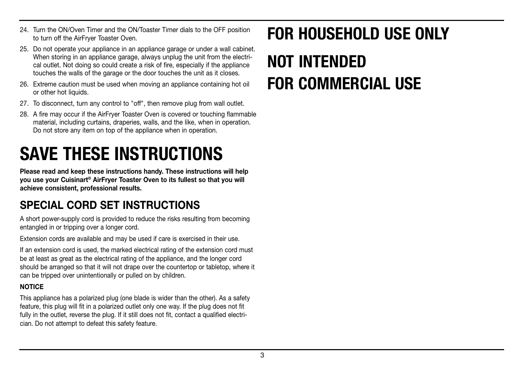- 24. Turn the ON/Oven Timer and the ON/Toaster Timer dials to the OFF position to turn off the AirFryer Toaster Oven.
- 25. Do not operate your appliance in an appliance garage or under a wall cabinet. When storing in an appliance garage, always unplug the unit from the electrical outlet. Not doing so could create a risk of fire, especially if the appliance touches the walls of the garage or the door touches the unit as it closes.
- 26. Extreme caution must be used when moving an appliance containing hot oil or other hot liquids.
- 27. To disconnect, turn any control to "off", then remove plug from wall outlet.
- 28. A fire may occur if the AirFryer Toaster Oven is covered or touching flammable material, including curtains, draperies, walls, and the like, when in operation. Do not store any item on top of the appliance when in operation.

# **SAVE THESE INSTRUCTIONS**

**Please read and keep these instructions handy. These instructions will help you use your Cuisinart® AirFryer Toaster Oven to its fullest so that you will achieve consistent, professional results.**

# **SPECIAL CORD SET INSTRUCTIONS**

A short power-supply cord is provided to reduce the risks resulting from becoming entangled in or tripping over a longer cord.

Extension cords are available and may be used if care is exercised in their use.

If an extension cord is used, the marked electrical rating of the extension cord must be at least as great as the electrical rating of the appliance, and the longer cord should be arranged so that it will not drape over the countertop or tabletop, where it can be tripped over unintentionally or pulled on by children.

#### **NOTICE**

This appliance has a polarized plug (one blade is wider than the other). As a safety feature, this plug will fit in a polarized outlet only one way. If the plug does not fit fully in the outlet, reverse the plug. If it still does not fit, contact a qualified electrician. Do not attempt to defeat this safety feature.

# **FOR HOUSEHOLD USE ONLY NOT INTENDED FOR COMMERCIAL USE**

#### 3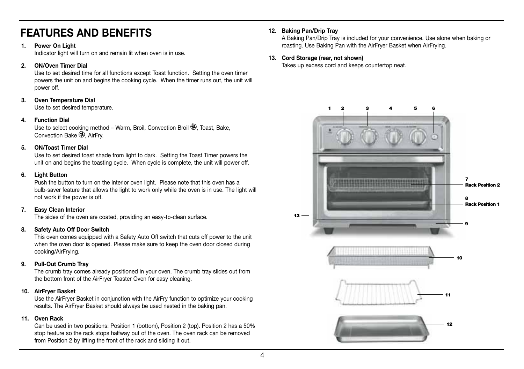# **FEATURES AND BENEFITS**

#### **1. Power On Light**

Indicator light will turn on and remain lit when oven is in use.

#### **2. ON/Oven Timer Dial**

Use to set desired time for all functions except Toast function. Setting the oven timer powers the unit on and begins the cooking cycle. When the timer runs out, the unit will power off.

#### **3. Oven Temperature Dial**

Use to set desired temperature.

#### **4. Function Dial**

Use to select cooking method – Warm, Broil, Convection Broil (2), Toast, Bake, Convection Bake  $\bigoplus$ . AirFry.

#### **5. ON/Toast Timer Dial**

Use to set desired toast shade from light to dark. Setting the Toast Timer powers the unit on and begins the toasting cycle. When cycle is complete, the unit will power off.

#### **6. Light Button**

Push the button to turn on the interior oven light. Please note that this oven has a bulb-saver feature that allows the light to work only while the oven is in use. The light will not work if the power is off.

#### **7. Easy Clean Interior**

The sides of the oven are coated, providing an easy-to-clean surface.

#### **8. Safety Auto Off Door Switch**

This oven comes equipped with a Safety Auto Off switch that cuts off power to the unit when the oven door is opened. Please make sure to keep the oven door closed during cooking/AirFrying.

#### **9. Pull-Out Crumb Tray**

The crumb tray comes already positioned in your oven. The crumb tray slides out from the bottom front of the AirFryer Toaster Oven for easy cleaning.

#### **10. AirFryer Basket**

Use the AirFryer Basket in conjunction with the AirFry function to optimize your cooking results. The AirFryer Basket should always be used nested in the baking pan.

#### **11. Oven Rack**

Can be used in two positions: Position 1 (bottom), Position 2 (top). Position 2 has a 50% stop feature so the rack stops halfway out of the oven. The oven rack can be removed from Position 2 by lifting the front of the rack and sliding it out.

#### **12. Baking Pan/Drip Tray**

A Baking Pan/Drip Tray is included for your convenience. Use alone when baking or roasting. Use Baking Pan with the AirFryer Basket when AirFrying.

#### **13. Cord Storage (rear, not shown)**

Takes up excess cord and keeps countertop neat.

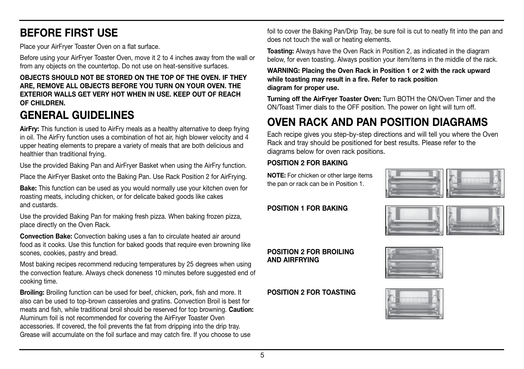# **BEFORE FIRST USE**

Place your AirFryer Toaster Oven on a flat surface.

Before using your AirFryer Toaster Oven, move it 2 to 4 inches away from the wall or from any objects on the countertop. Do not use on heat-sensitive surfaces.

#### **OBJECTS SHOULD NOT BE STORED ON THE TOP OF THE OVEN. IF THEY ARE, REMOVE ALL OBJECTS BEFORE YOU TURN ON YOUR OVEN. THE EXTERIOR WALLS GET VERY HOT WHEN IN USE. KEEP OUT OF REACH OF CHILDREN.**

# **GENERAL GUIDELINES**

**AirFry:** This function is used to AirFry meals as a healthy alternative to deep frying in oil. The AirFry function uses a combination of hot air, high blower velocity and 4 upper heating elements to prepare a variety of meals that are both delicious and healthier than traditional frying.

Use the provided Baking Pan and AirFryer Basket when using the AirFry function.

Place the AirFryer Basket onto the Baking Pan. Use Rack Position 2 for AirFrying.

**Bake:** This function can be used as you would normally use your kitchen oven for roasting meats, including chicken, or for delicate baked goods like cakes and custards.

Use the provided Baking Pan for making fresh pizza. When baking frozen pizza, place directly on the Oven Rack.

**Convection Bake:** Convection baking uses a fan to circulate heated air around food as it cooks. Use this function for baked goods that require even browning like scones, cookies, pastry and bread.

Most baking recipes recommend reducing temperatures by 25 degrees when using the convection feature. Always check doneness 10 minutes before suggested end of cooking time.

**Broiling:** Broiling function can be used for beef, chicken, pork, fish and more. It also can be used to top-brown casseroles and gratins. Convection Broil is best for meats and fish, while traditional broil should be reserved for top browning. **Caution:** Aluminum foil is not recommended for covering the AirFryer Toaster Oven accessories. If covered, the foil prevents the fat from dripping into the drip tray. Grease will accumulate on the foil surface and may catch fire. If you choose to use

foil to cover the Baking Pan/Drip Tray, be sure foil is cut to neatly fit into the pan and does not touch the wall or heating elements.

**Toasting:** Always have the Oven Rack in Position 2, as indicated in the diagram below, for even toasting. Always position your item/items in the middle of the rack.

#### **WARNING: Placing the Oven Rack in Position 1 or 2 with the rack upward while toasting may result in a fire. Refer to rack position diagram for proper use.**

**Turning off the AirFryer Toaster Oven:** Turn BOTH the ON/Oven Timer and the ON/Toast Timer dials to the OFF position. The power on light will turn off.

# **OVEN RACK AND PAN POSITION DIAGRAMS**

Each recipe gives you step-by-step directions and will tell you where the Oven Rack and tray should be positioned for best results. Please refer to the diagrams below for oven rack positions.

## **POSITION 2 FOR BAKING**

**NOTE:** For chicken or other large items the pan or rack can be in Position 1.



#### **POSITION 1 FOR BAKING**



### **POSITION 2 FOR BROILING AND AIRFRYING**

### **POSITION 2 FOR TOASTING**

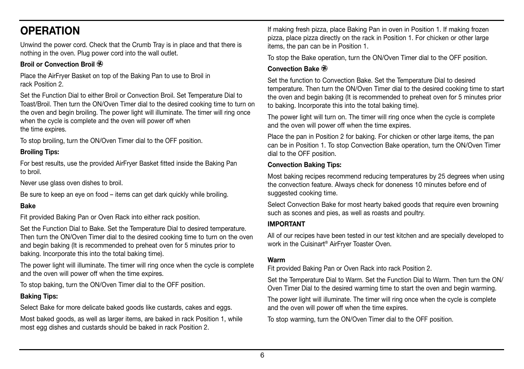# **OPERATION**

Unwind the power cord. Check that the Crumb Tray is in place and that there is nothing in the oven. Plug power cord into the wall outlet.

## **Broil or Convection Broil**

Place the AirFryer Basket on top of the Baking Pan to use to Broil in rack Position 2.

Set the Function Dial to either Broil or Convection Broil. Set Temperature Dial to Toast/Broil. Then turn the ON/Oven Timer dial to the desired cooking time to turn on the oven and begin broiling. The power light will illuminate. The timer will ring once when the cycle is complete and the oven will power off when the time expires.

To stop broiling, turn the ON/Oven Timer dial to the OFF position.

## **Broiling Tips:**

For best results, use the provided AirFryer Basket fitted inside the Baking Pan to broil.

Never use glass oven dishes to broil.

Be sure to keep an eye on food – items can get dark quickly while broiling.

## **Bake**

Fit provided Baking Pan or Oven Rack into either rack position.

Set the Function Dial to Bake. Set the Temperature Dial to desired temperature. Then turn the ON/Oven Timer dial to the desired cooking time to turn on the oven and begin baking (It is recommended to preheat oven for 5 minutes prior to baking. Incorporate this into the total baking time).

The power light will illuminate. The timer will ring once when the cycle is complete and the oven will power off when the time expires.

To stop baking, turn the ON/Oven Timer dial to the OFF position.

### **Baking Tips:**

Select Bake for more delicate baked goods like custards, cakes and eggs.

Most baked goods, as well as larger items, are baked in rack Position 1, while most egg dishes and custards should be baked in rack Position 2.

If making fresh pizza, place Baking Pan in oven in Position 1. If making frozen pizza, place pizza directly on the rack in Position 1. For chicken or other large items, the pan can be in Position 1.

To stop the Bake operation, turn the ON/Oven Timer dial to the OFF position.

## **Convection Bake**

Set the function to Convection Bake. Set the Temperature Dial to desired temperature. Then turn the ON/Oven Timer dial to the desired cooking time to start the oven and begin baking (It is recommended to preheat oven for 5 minutes prior to baking. Incorporate this into the total baking time).

The power light will turn on. The timer will ring once when the cycle is complete and the oven will power off when the time expires.

Place the pan in Position 2 for baking. For chicken or other large items, the pan can be in Position 1. To stop Convection Bake operation, turn the ON/Oven Timer dial to the OFF position.

## **Convection Baking Tips:**

Most baking recipes recommend reducing temperatures by 25 degrees when using the convection feature. Always check for doneness 10 minutes before end of suggested cooking time.

Select Convection Bake for most hearty baked goods that require even browning such as scones and pies, as well as roasts and poultry.

### **IMPORTANT**

All of our recipes have been tested in our test kitchen and are specially developed to work in the Cuisinart® AirFryer Toaster Oven.

## **Warm**

Fit provided Baking Pan or Oven Rack into rack Position 2.

Set the Temperature Dial to Warm. Set the Function Dial to Warm. Then turn the ON/ Oven Timer Dial to the desired warming time to start the oven and begin warming.

The power light will illuminate. The timer will ring once when the cycle is complete and the oven will power off when the time expires.

To stop warming, turn the ON/Oven Timer dial to the OFF position.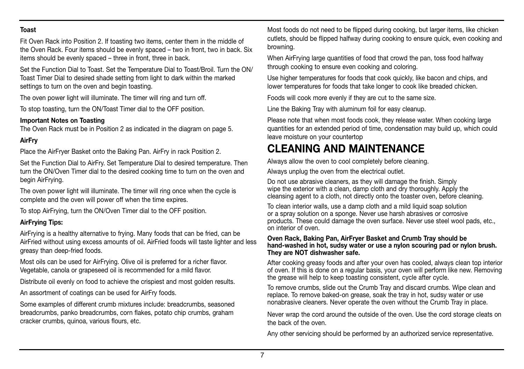#### **Toast**

Fit Oven Rack into Position 2. If toasting two items, center them in the middle of the Oven Rack. Four items should be evenly spaced – two in front, two in back. Six items should be evenly spaced – three in front, three in back.

Set the Function Dial to Toast. Set the Temperature Dial to Toast/Broil. Turn the ON/ Toast Timer Dial to desired shade setting from light to dark within the marked settings to turn on the oven and begin toasting.

The oven power light will illuminate. The timer will ring and turn off.

To stop toasting, turn the ON/Toast Timer dial to the OFF position.

#### **Important Notes on Toasting**

The Oven Rack must be in Position 2 as indicated in the diagram on page 5.

### **AirFry**

Place the AirFryer Basket onto the Baking Pan. AirFry in rack Position 2.

Set the Function Dial to AirFry. Set Temperature Dial to desired temperature. Then turn the ON/Oven Timer dial to the desired cooking time to turn on the oven and begin AirFrying.

The oven power light will illuminate. The timer will ring once when the cycle is complete and the oven will power off when the time expires.

To stop AirFrying, turn the ON/Oven Timer dial to the OFF position.

#### **AirFrying Tips:**

AirFrying is a healthy alternative to frying. Many foods that can be fried, can be AirFried without using excess amounts of oil. AirFried foods will taste lighter and less greasy than deep-fried foods.

Most oils can be used for AirFrying. Olive oil is preferred for a richer flavor. Vegetable, canola or grapeseed oil is recommended for a mild flavor.

Distribute oil evenly on food to achieve the crispiest and most golden results.

An assortment of coatings can be used for AirFry foods.

Some examples of different crumb mixtures include: breadcrumbs, seasoned breadcrumbs, panko breadcrumbs, corn flakes, potato chip crumbs, graham cracker crumbs, quinoa, various flours, etc.

Most foods do not need to be flipped during cooking, but larger items, like chicken cutlets, should be flipped halfway during cooking to ensure quick, even cooking and browning.

When AirFrying large quantities of food that crowd the pan, toss food halfway through cooking to ensure even cooking and coloring.

Use higher temperatures for foods that cook quickly, like bacon and chips, and lower temperatures for foods that take longer to cook like breaded chicken.

Foods will cook more evenly if they are cut to the same size.

Line the Baking Tray with aluminum foil for easy cleanup.

Please note that when most foods cook, they release water. When cooking large quantities for an extended period of time, condensation may build up, which could leave moisture on your countertop

# **CLEANING AND MAINTENANCE**

Always allow the oven to cool completely before cleaning.

Always unplug the oven from the electrical outlet.

Do not use abrasive cleaners, as they will damage the finish. Simply wipe the exterior with a clean, damp cloth and dry thoroughly. Apply the cleansing agent to a cloth, not directly onto the toaster oven, before cleaning.

To clean interior walls, use a damp cloth and a mild liquid soap solution or a spray solution on a sponge. Never use harsh abrasives or corrosive products. These could damage the oven surface. Never use steel wool pads, etc., on interior of oven.

#### **Oven Rack, Baking Pan, AirFryer Basket and Crumb Tray should be hand-washed in hot, sudsy water or use a nylon scouring pad or nylon brush. They are NOT dishwasher safe.**

After cooking greasy foods and after your oven has cooled, always clean top interior of oven. If this is done on a regular basis, your oven will perform like new. Removing the grease will help to keep toasting consistent, cycle after cycle.

To remove crumbs, slide out the Crumb Tray and discard crumbs. Wipe clean and replace. To remove baked-on grease, soak the tray in hot, sudsy water or use nonabrasive cleaners. Never operate the oven without the Crumb Tray in place.

Never wrap the cord around the outside of the oven. Use the cord storage cleats on the back of the oven.

Any other servicing should be performed by an authorized service representative.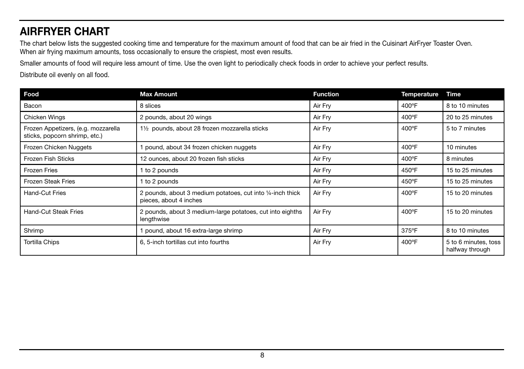# **AIRFRYER CHART**

The chart below lists the suggested cooking time and temperature for the maximum amount of food that can be air fried in the Cuisinart AirFryer Toaster Oven. When air frying maximum amounts, toss occasionally to ensure the crispiest, most even results.

Smaller amounts of food will require less amount of time. Use the oven light to periodically check foods in order to achieve your perfect results.

Distribute oil evenly on all food.

| Food                                                                 | <b>Max Amount</b>                                                                    | <b>Function</b> | <b>Temperature</b> | Time                                    |
|----------------------------------------------------------------------|--------------------------------------------------------------------------------------|-----------------|--------------------|-----------------------------------------|
| Bacon                                                                | 8 slices                                                                             | Air Fry         | 400°F              | 8 to 10 minutes                         |
| Chicken Wings                                                        | 2 pounds, about 20 wings                                                             | Air Fry         | 400°F              | 20 to 25 minutes                        |
| Frozen Appetizers, (e.g. mozzarella<br>sticks, popcorn shrimp, etc.) | 1 <sup>1</sup> / <sub>2</sub> pounds, about 28 frozen mozzarella sticks              | Air Fry         | $400^{\circ}$ F    | 5 to 7 minutes                          |
| Frozen Chicken Nuggets                                               | 1 pound, about 34 frozen chicken nuggets                                             | Air Fry         | 400°F              | 10 minutes                              |
| Frozen Fish Sticks                                                   | 12 ounces, about 20 frozen fish sticks                                               | Air Fry         | 400°F              | 8 minutes                               |
| <b>Frozen Fries</b>                                                  | 1 to 2 pounds                                                                        | Air Fry         | 450°F              | 15 to 25 minutes                        |
| <b>Frozen Steak Fries</b>                                            | 1 to 2 pounds                                                                        | Air Fry         | 450°F              | 15 to 25 minutes                        |
| Hand-Cut Fries                                                       | 2 pounds, about 3 medium potatoes, cut into 1/4-inch thick<br>pieces, about 4 inches | Air Fry         | 400°F              | 15 to 20 minutes                        |
| Hand-Cut Steak Fries                                                 | 2 pounds, about 3 medium-large potatoes, cut into eighths<br>lengthwise              | Air Fry         | 400°F              | 15 to 20 minutes                        |
| Shrimp                                                               | pound, about 16 extra-large shrimp                                                   | Air Fry         | $375^{\circ}$ F    | 8 to 10 minutes                         |
| Tortilla Chips                                                       | 6, 5-inch tortillas cut into fourths                                                 | Air Fry         | 400°F              | 5 to 6 minutes, toss<br>halfway through |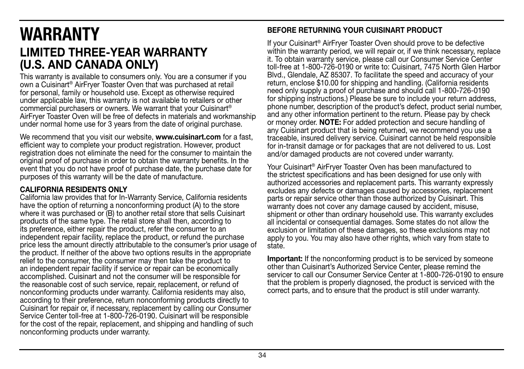# **WARRANTY LIMITED THREE-YEAR WARRANTY (U.S. AND CANADA ONLY)**

This warranty is available to consumers only. You are a consumer if you own a Cuisinart® AirFryer Toaster Oven that was purchased at retail for personal, family or household use. Except as otherwise required under applicable law, this warranty is not available to retailers or other commercial purchasers or owners. We warrant that your Cuisinart® AirFryer Toaster Oven will be free of defects in materials and workmanship under normal home use for 3 years from the date of original purchase.

We recommend that you visit our website, **www.cuisinart.com** for a fast, efficient way to complete your product registration. However, product registration does not eliminate the need for the consumer to maintain the original proof of purchase in order to obtain the warranty benefits. In the event that you do not have proof of purchase date, the purchase date for purposes of this warranty will be the date of manufacture.

## **CALIFORNIA RESIDENTS ONLY**

California law provides that for In-Warranty Service, California residents have the option of returning a nonconforming product (A) to the store where it was purchased or (B) to another retail store that sells Cuisinart products of the same type. The retail store shall then, according to its preference, either repair the product, refer the consumer to an independent repair facility, replace the product, or refund the purchase price less the amount directly attributable to the consumer's prior usage of the product. If neither of the above two options results in the appropriate relief to the consumer, the consumer may then take the product to an independent repair facility if service or repair can be economically accomplished. Cuisinart and not the consumer will be responsible for the reasonable cost of such service, repair, replacement, or refund of nonconforming products under warranty. California residents may also, according to their preference, return nonconforming products directly to Cuisinart for repair or, if necessary, replacement by calling our Consumer Service Center toll-free at 1-800-726-0190. Cuisinart will be responsible for the cost of the repair, replacement, and shipping and handling of such nonconforming products under warranty.

## **BEFORE RETURNING YOUR CUISINART PRODUCT**

If your Cuisinart® AirFryer Toaster Oven should prove to be defective within the warranty period, we will repair or, if we think necessary, replace it. To obtain warranty service, please call our Consumer Service Center toll-free at 1-800-726-0190 or write to: Cuisinart, 7475 North Glen Harbor Blvd., Glendale, AZ 85307. To facilitate the speed and accuracy of your return, enclose \$10.00 for shipping and handling. (California residents need only supply a proof of purchase and should call 1-800-726-0190 for shipping instructions.) Please be sure to include your return address, phone number, description of the product's defect, product serial number, and any other information pertinent to the return. Please pay by check or money order. **NOTE:** For added protection and secure handling of any Cuisinart product that is being returned, we recommend you use a traceable, insured delivery service. Cuisinart cannot be held responsible for in-transit damage or for packages that are not delivered to us. Lost and/or damaged products are not covered under warranty.

Your Cuisinart® AirFryer Toaster Oven has been manufactured to the strictest specifications and has been designed for use only with authorized accessories and replacement parts. This warranty expressly excludes any defects or damages caused by accessories, replacement parts or repair service other than those authorized by Cuisinart. This warranty does not cover any damage caused by accident, misuse, shipment or other than ordinary household use. This warranty excludes all incidental or consequential damages. Some states do not allow the exclusion or limitation of these damages, so these exclusions may not apply to you. You may also have other rights, which vary from state to state.

**Important:** If the nonconforming product is to be serviced by someone other than Cuisinart's Authorized Service Center, please remind the servicer to call our Consumer Service Center at 1-800-726-0190 to ensure that the problem is properly diagnosed, the product is serviced with the correct parts, and to ensure that the product is still under warranty.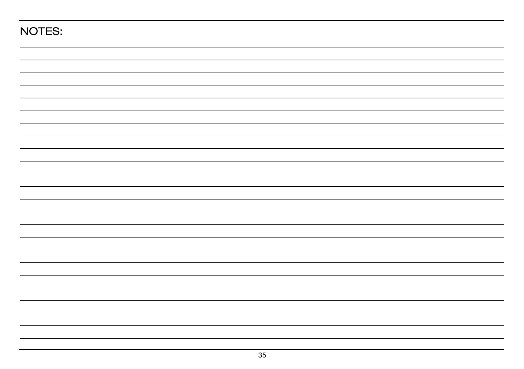| NOTES: |  |
|--------|--|
|        |  |
|        |  |
|        |  |
|        |  |
|        |  |
|        |  |
|        |  |
|        |  |
|        |  |
|        |  |
|        |  |
|        |  |
|        |  |
|        |  |
|        |  |
|        |  |
|        |  |
|        |  |
|        |  |
|        |  |
|        |  |
|        |  |
|        |  |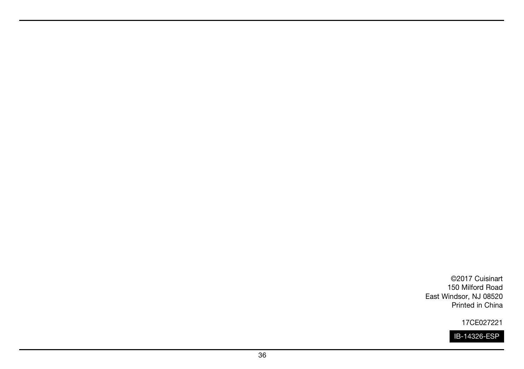©2017 Cuisinart 150 Milford Road East Windsor, NJ 08520 Printed in China

17CE027221

IB-14326-ESP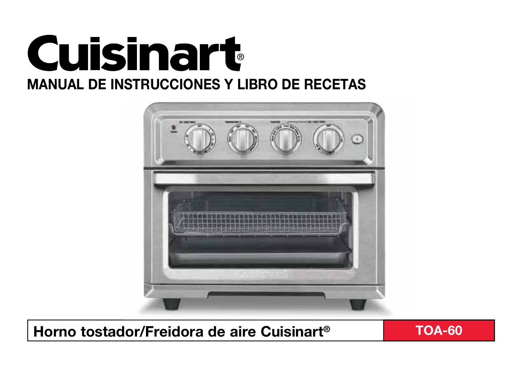



 **Horno tostador/Freidora de aire Cuisinart® TOA-60**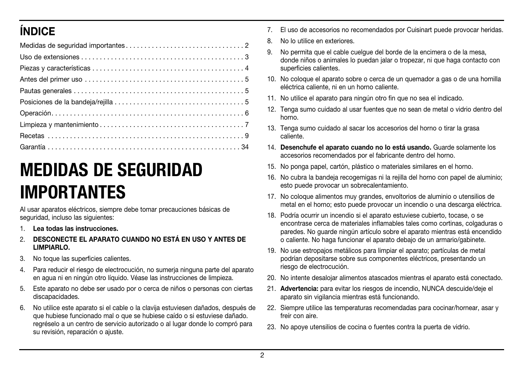# **ÍNDICE**

# **MEDIDAS DE SEGURIDAD IMPORTANTES**

Al usar aparatos eléctricos, siempre debe tomar precauciones básicas de seguridad, incluso las siguientes:

- 1. **Lea todas las instrucciones.**
- 2. **DESCONECTE EL APARATO CUANDO NO ESTÁ EN USO Y ANTES DE LIMPIARLO.**
- No toque las superficies calientes.
- 4. Para reducir el riesgo de electrocución, no sumerja ninguna parte del aparato en agua ni en ningún otro líquido. Véase las instrucciones de limpieza.
- 5. Este aparato no debe ser usado por o cerca de niños o personas con ciertas discapacidades.
- 6. No utilice este aparato si el cable o la clavija estuviesen dañados, después de que hubiese funcionado mal o que se hubiese caído o si estuviese dañado. regréselo a un centro de servicio autorizado o al lugar donde lo compró para su revisión, reparación o ajuste.
- 7. El uso de accesorios no recomendados por Cuisinart puede provocar heridas.
- 8. No lo utilice en exteriores.
- 9. No permita que el cable cuelgue del borde de la encimera o de la mesa, donde niños o animales lo puedan jalar o tropezar, ni que haga contacto con superficies calientes.
- 10. No coloque el aparato sobre o cerca de un quemador a gas o de una hornilla eléctrica caliente, ni en un horno caliente.
- 11. No utilice el aparato para ningún otro fin que no sea el indicado.
- 12. Tenga sumo cuidado al usar fuentes que no sean de metal o vidrio dentro del horno.
- 13. Tenga sumo cuidado al sacar los accesorios del horno o tirar la grasa caliente.
- 14. **Desenchufe el aparato cuando no lo está usando.** Guarde solamente los accesorios recomendados por el fabricante dentro del horno.
- 15. No ponga papel, cartón, plástico o materiales similares en el horno.
- 16. No cubra la bandeja recogemigas ni la rejilla del horno con papel de aluminio; esto puede provocar un sobrecalentamiento.
- 17. No coloque alimentos muy grandes, envoltorios de aluminio o utensilios de metal en el horno; esto puede provocar un incendio o una descarga eléctrica.
- 18. Podría ocurrir un incendio si el aparato estuviese cubierto, tocase, o se encontrase cerca de materiales inflamables tales como cortinas, colgaduras o paredes. No guarde ningún artículo sobre el aparato mientras está encendido o caliente. No haga funcionar el aparato debajo de un armario/gabinete.
- 19. No use estropajos metálicos para limpiar el aparato; partículas de metal podrían depositarse sobre sus componentes eléctricos, presentando un riesgo de electrocución.
- 20. No intente desalojar alimentos atascados mientras el aparato está conectado.
- 21. **Advertencia:** para evitar los riesgos de incendio, NUNCA descuide/deje el aparato sin vigilancia mientras está funcionando.
- 22. Siempre utilice las temperaturas recomendadas para cocinar/hornear, asar y freír con aire.
- 23. No apoye utensilios de cocina o fuentes contra la puerta de vidrio.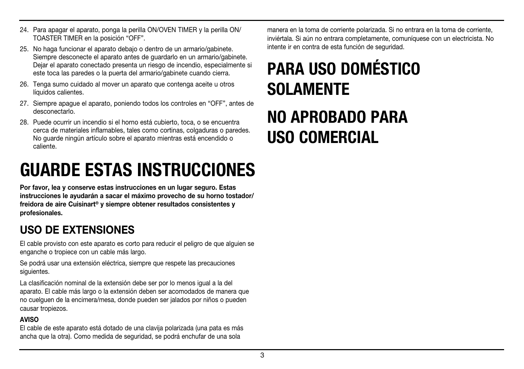- 24. Para apagar el aparato, ponga la perilla ON/OVEN TIMER y la perilla ON/ TOASTER TIMER en la posición "OFF".
- 25. No haga funcionar el aparato debajo o dentro de un armario/gabinete. Siempre desconecte el aparato antes de guardarlo en un armario/gabinete. Dejar el aparato conectado presenta un riesgo de incendio, especialmente si este toca las paredes o la puerta del armario/gabinete cuando cierra.
- 26. Tenga sumo cuidado al mover un aparato que contenga aceite u otros líquidos calientes.
- 27. Siempre apague el aparato, poniendo todos los controles en "OFF", antes de desconectarlo.
- 28. Puede ocurrir un incendio si el horno está cubierto, toca, o se encuentra cerca de materiales inflamables, tales como cortinas, colgaduras o paredes. No guarde ningún artículo sobre el aparato mientras está encendido o caliente.

# **GUARDE ESTAS INSTRUCCIONES**

**Por favor, lea y conserve estas instrucciones en un lugar seguro. Estas instrucciones le ayudarán a sacar el máximo provecho de su horno tostador/ freidora de aire Cuisinart® y siempre obtener resultados consistentes y profesionales.**

## **USO DE EXTENSIONES**

El cable provisto con este aparato es corto para reducir el peligro de que alguien se enganche o tropiece con un cable más largo.

Se podrá usar una extensión eléctrica, siempre que respete las precauciones siguientes.

La clasificación nominal de la extensión debe ser por lo menos igual a la del aparato. El cable más largo o la extensión deben ser acomodados de manera que no cuelguen de la encimera/mesa, donde pueden ser jalados por niños o pueden causar tropiezos.

#### **AVISO**

El cable de este aparato está dotado de una clavija polarizada (una pata es más ancha que la otra). Como medida de seguridad, se podrá enchufar de una sola

manera en la toma de corriente polarizada. Si no entrara en la toma de corriente, inviértala. Si aún no entrara completamente, comuníquese con un electricista. No intente ir en contra de esta función de seguridad.

# **PARA USO DOMÉSTICO SOLAMENTE**

# **NO APROBADO PARA USO COMERCIAL**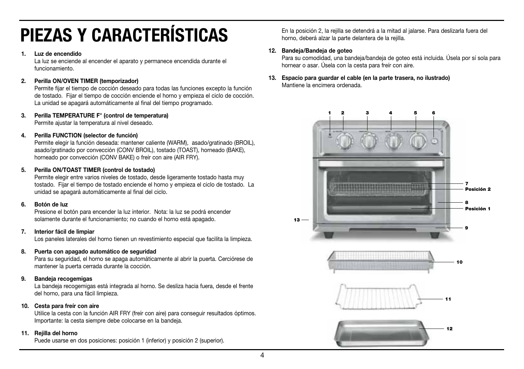# **PIEZAS Y CARACTERÍSTICAS**

#### **1. Luz de encendido**

La luz se enciende al encender el aparato y permanece encendida durante el funcionamiento.

#### **2. Perilla ON/OVEN TIMER (temporizador)**

Permite fijar el tiempo de cocción deseado para todas las funciones excepto la función de tostado. Fijar el tiempo de cocción enciende el horno y empieza el ciclo de cocción. La unidad se apagará automáticamente al final del tiempo programado.

#### **3. Perilla TEMPERATURE F° (control de temperatura)**

Permite ajustar la temperatura al nivel deseado.

#### **4. Perilla FUNCTION (selector de función)**

Permite elegir la función deseada: mantener caliente (WARM), asado/gratinado (BROIL), asado/gratinado por convección (CONV BROIL), tostado (TOAST), horneado (BAKE), horneado por convección (CONV BAKE) o freír con aire (AIR FRY).

#### **5. Perilla ON/TOAST TIMER (control de tostado)**

Permite elegir entre varios niveles de tostado, desde ligeramente tostado hasta muy tostado. Fijar el tiempo de tostado enciende el horno y empieza el ciclo de tostado. La unidad se apagará automáticamente al final del ciclo.

#### **6. Botón de luz**

Presione el botón para encender la luz interior. Nota: la luz se podrá encender solamente durante el funcionamiento; no cuando el horno está apagado.

#### **7. Interior fácil de limpiar**

Los paneles laterales del horno tienen un revestimiento especial que facilita la limpieza.

#### **8. Puerta con apagado automático de seguridad**

Para su seguridad, el horno se apaga automáticamente al abrir la puerta. Cerciórese de mantener la puerta cerrada durante la cocción.

#### **9. Bandeja recogemigas**

La bandeja recogemigas está integrada al horno. Se desliza hacia fuera, desde el frente del horno, para una fácil limpieza.

#### **10. Cesta para freír con aire**

Utilice la cesta con la función AIR FRY (freír con aire) para conseguir resultados óptimos. Importante: la cesta siempre debe colocarse en la bandeja.

#### **11. Rejilla del horno**

Puede usarse en dos posiciones: posición 1 (inferior) y posición 2 (superior).

 En la posición 2, la rejilla se detendrá a la mitad al jalarse. Para deslizarla fuera del horno, deberá alzar la parte delantera de la rejilla.

#### **12. Bandeja/Bandeja de goteo**

Para su comodidad, una bandeja/bandeja de goteo está incluida. Úsela por sí sola para hornear o asar. Úsela con la cesta para freír con aire.

**13. Espacio para guardar el cable (en la parte trasera, no ilustrado)**  Mantiene la encimera ordenada.

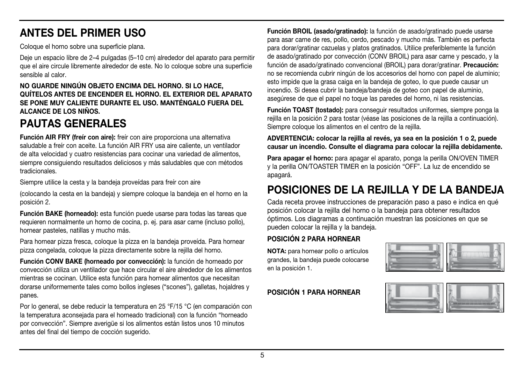# **ANTES DEL PRIMER USO**

Coloque el horno sobre una superficie plana.

Deje un espacio libre de 2–4 pulgadas (5–10 cm) alrededor del aparato para permitir que el aire circule libremente alrededor de este. No lo coloque sobre una superficie sensible al calor.

**NO GUARDE NINGÚN OBJETO ENCIMA DEL HORNO. SI LO HACE, QUÍTELOS ANTES DE ENCENDER EL HORNO. EL EXTERIOR DEL APARATO SE PONE MUY CALIENTE DURANTE EL USO. MANTÉNGALO FUERA DEL ALCANCE DE LOS NIÑOS.**

# **PAUTAS GENERALES**

**Función AIR FRY (freír con aire):** freír con aire proporciona una alternativa saludable a freír con aceite. La función AIR FRY usa aire caliente, un ventilador de alta velocidad y cuatro resistencias para cocinar una variedad de alimentos, siempre consiguiendo resultados deliciosos y más saludables que con métodos tradicionales.

Siempre utilice la cesta y la bandeja proveídas para freír con aire

(colocando la cesta en la bandeja) y siempre coloque la bandeja en el horno en la posición 2.

**Función BAKE (horneado):** esta función puede usarse para todas las tareas que requieren normalmente un horno de cocina, p. ej. para asar carne (incluso pollo), hornear pasteles, natillas y mucho más.

Para hornear pizza fresca, coloque la pizza en la bandeja proveída. Para hornear pizza congelada, coloque la pizza directamente sobre la rejilla del horno.

**Función CONV BAKE (horneado por convección):** la función de horneado por convección utiliza un ventilador que hace circular el aire alrededor de los alimentos mientras se cocinan. Utilice esta función para hornear alimentos que necesitan dorarse uniformemente tales como bollos ingleses ("scones"), galletas, hojaldres y panes.

Por lo general, se debe reducir la temperatura en 25 °F/15 °C (en comparación con la temperatura aconsejada para el horneado tradicional) con la función "horneado por convección". Siempre averigüe si los alimentos están listos unos 10 minutos antes del final del tiempo de cocción sugerido.

**Función BROIL (asado/gratinado):** la función de asado/gratinado puede usarse para asar carne de res, pollo, cerdo, pescado y mucho más. También es perfecta para dorar/gratinar cazuelas y platos gratinados. Utilice preferiblemente la función de asado/gratinado por convección (CONV BROIL) para asar carne y pescado, y la función de asado/gratinado convencional (BROIL) para dorar/gratinar. **Precaución:** no se recomienda cubrir ningún de los accesorios del horno con papel de aluminio; esto impide que la grasa caiga en la bandeja de goteo, lo que puede causar un incendio. Si desea cubrir la bandeja/bandeja de goteo con papel de aluminio, asegúrese de que el papel no toque las paredes del horno, ni las resistencias.

**Función TOAST (tostado):** para conseguir resultados uniformes, siempre ponga la rejilla en la posición 2 para tostar (véase las posiciones de la rejilla a continuación). Siempre coloque los alimentos en el centro de la rejilla.

### **ADVERTENCIA: colocar la rejilla al revés, ya sea en la posición 1 o 2, puede causar un incendio. Consulte el diagrama para colocar la rejilla debidamente.**

Para apagar el horno: para apagar el aparato, ponga la perilla ON/OVEN TIMER y la perilla ON/TOASTER TIMER en la posición "OFF". La luz de encendido se apagará.

# **POSICIONES DE LA REJILLA Y DE LA BANDEJA**

Cada receta provee instrucciones de preparación paso a paso e indica en qué posición colocar la rejilla del horno o la bandeja para obtener resultados óptimos. Los diagramas a continuación muestran las posiciones en que se pueden colocar la rejilla y la bandeja.

## **POSICIÓN 2 PARA HORNEAR**

**NOTA:** para hornear pollo o artículos grandes, la bandeja puede colocarse en la posición 1.

## **POSICIÓN 1 PARA HORNEAR**

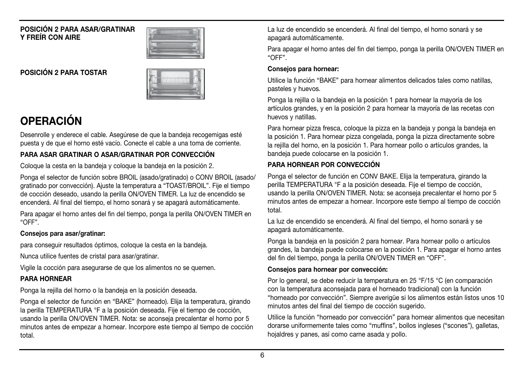#### **POSICIÓN 2 PARA ASAR/GRATINAR Y FREÍR CON AIRE**



**POSICIÓN 2 PARA TOSTAR**



# **OPERACIÓN**

Desenrolle y enderece el cable. Asegúrese de que la bandeja recogemigas esté puesta y de que el horno esté vacío. Conecte el cable a una toma de corriente.

## **PARA ASAR GRATINAR O ASAR/GRATINAR POR CONVECCIÓN**

Coloque la cesta en la bandeja y coloque la bandeja en la posición 2.

Ponga el selector de función sobre BROIL (asado/gratinado) o CONV BROIL (asado/ gratinado por convección). Ajuste la temperatura a "TOAST/BROIL". Fije el tiempo de cocción deseado, usando la perilla ON/OVEN TIMER. La luz de encendido se encenderá. Al final del tiempo, el horno sonará y se apagará automáticamente.

Para apagar el horno antes del fin del tiempo, ponga la perilla ON/OVEN TIMER en "OFF".

## **Consejos para asar/gratinar:**

para conseguir resultados óptimos, coloque la cesta en la bandeja.

Nunca utilice fuentes de cristal para asar/gratinar.

Vigile la cocción para asegurarse de que los alimentos no se quemen.

## **PARA HORNEAR**

Ponga la rejilla del horno o la bandeja en la posición deseada.

Ponga el selector de función en "BAKE" (horneado). Elija la temperatura, girando la perilla TEMPERATURA °F a la posición deseada. Fije el tiempo de cocción, usando la perilla ON/OVEN TIMER. Nota: se aconseja precalentar el horno por 5 minutos antes de empezar a hornear. Incorpore este tiempo al tiempo de cocción total.

La luz de encendido se encenderá. Al final del tiempo, el horno sonará y se apagará automáticamente.

Para apagar el horno antes del fin del tiempo, ponga la perilla ON/OVEN TIMER en "OFF".

## **Consejos para hornear:**

Utilice la función "BAKE" para hornear alimentos delicados tales como natillas, pasteles y huevos.

Ponga la rejilla o la bandeja en la posición 1 para hornear la mayoría de los artículos grandes, y en la posición 2 para hornear la mayoría de las recetas con huevos y natillas.

Para hornear pizza fresca, coloque la pizza en la bandeja y ponga la bandeja en la posición 1. Para hornear pizza congelada, ponga la pizza directamente sobre la rejilla del horno, en la posición 1. Para hornear pollo o artículos grandes, la bandeja puede colocarse en la posición 1.

## **PARA HORNEAR POR CONVECCIÓN**

Ponga el selector de función en CONV BAKE. Elija la temperatura, girando la perilla TEMPERATURA °F a la posición deseada. Fije el tiempo de cocción, usando la perilla ON/OVEN TIMER. Nota: se aconseja precalentar el horno por 5 minutos antes de empezar a hornear. Incorpore este tiempo al tiempo de cocción total.

La luz de encendido se encenderá. Al final del tiempo, el horno sonará y se apagará automáticamente.

Ponga la bandeja en la posición 2 para hornear. Para hornear pollo o artículos grandes, la bandeja puede colocarse en la posición 1. Para apagar el horno antes del fin del tiempo, ponga la perilla ON/OVEN TIMER en "OFF".

## **Consejos para hornear por convección:**

Por lo general, se debe reducir la temperatura en 25 °F/15 °C (en comparación con la temperatura aconsejada para el horneado tradicional) con la función "horneado por convección". Siempre averigüe si los alimentos están listos unos 10 minutos antes del final del tiempo de cocción sugerido.

Utilice la función "horneado por convección" para hornear alimentos que necesitan dorarse uniformemente tales como "muffins", bollos ingleses ("scones"), galletas, hojaldres y panes, así como carne asada y pollo.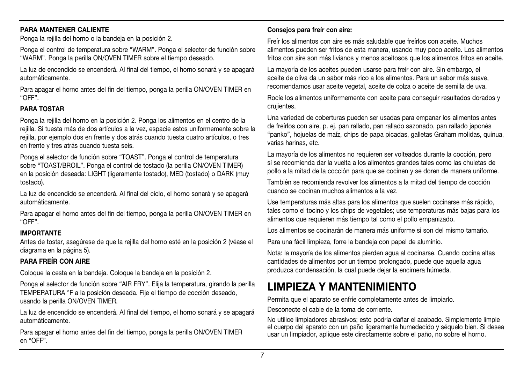#### **PARA MANTENER CALIENTE**

Ponga la rejilla del horno o la bandeja en la posición 2.

Ponga el control de temperatura sobre "WARM". Ponga el selector de función sobre "WARM". Ponga la perilla ON/OVEN TIMER sobre el tiempo deseado.

La luz de encendido se encenderá. Al final del tiempo, el horno sonará y se apagará automáticamente.

Para apagar el horno antes del fin del tiempo, ponga la perilla ON/OVEN TIMER en "OFF".

#### **PARA TOSTAR**

Ponga la rejilla del horno en la posición 2. Ponga los alimentos en el centro de la rejilla. Si tuesta más de dos artículos a la vez, espacie estos uniformemente sobre la rejilla, por ejemplo dos en frente y dos atrás cuando tuesta cuatro artículos, o tres en frente y tres atrás cuando tuesta seis.

Ponga el selector de función sobre "TOAST". Ponga el control de temperatura sobre "TOAST/BROIL". Ponga el control de tostado (la perilla ON/OVEN TIMER) en la posición deseada: LIGHT (ligeramente tostado), MED (tostado) o DARK (muy tostado).

La luz de encendido se encenderá. Al final del ciclo, el horno sonará y se apagará automáticamente.

Para apagar el horno antes del fin del tiempo, ponga la perilla ON/OVEN TIMER en "OFF".

#### **IMPORTANTE**

Antes de tostar, asegúrese de que la rejilla del horno esté en la posición 2 (véase el diagrama en la página 5).

## **PARA FREÍR CON AIRE**

Coloque la cesta en la bandeja. Coloque la bandeja en la posición 2.

Ponga el selector de función sobre "AIR FRY". Elija la temperatura, girando la perilla TEMPERATURA °F a la posición deseada. Fije el tiempo de cocción deseado, usando la perilla ON/OVEN TIMER.

La luz de encendido se encenderá. Al final del tiempo, el horno sonará y se apagará automáticamente.

Para apagar el horno antes del fin del tiempo, ponga la perilla ON/OVEN TIMER en "OFF".

#### **Consejos para freír con aire:**

Freír los alimentos con aire es más saludable que freírlos con aceite. Muchos alimentos pueden ser fritos de esta manera, usando muy poco aceite. Los alimentos fritos con aire son más livianos y menos aceitosos que los alimentos fritos en aceite.

La mayoría de los aceites pueden usarse para freír con aire. Sin embargo, el aceite de oliva da un sabor más rico a los alimentos. Para un sabor más suave, recomendamos usar aceite vegetal, aceite de colza o aceite de semilla de uva.

Rocíe los alimentos uniformemente con aceite para conseguir resultados dorados y crujientes.

Una variedad de coberturas pueden ser usadas para empanar los alimentos antes de freírlos con aire, p. ej. pan rallado, pan rallado sazonado, pan rallado japonés "panko", hojuelas de maíz, chips de papa picadas, galletas Graham molidas, quinua, varias harinas, etc.

La mayoría de los alimentos no requieren ser volteados durante la cocción, pero sí se recomienda dar la vuelta a los alimentos grandes tales como las chuletas de pollo a la mitad de la cocción para que se cocinen y se doren de manera uniforme.

También se recomienda revolver los alimentos a la mitad del tiempo de cocción cuando se cocinan muchos alimentos a la vez.

Use temperaturas más altas para los alimentos que suelen cocinarse más rápido, tales como el tocino y los chips de vegetales; use temperaturas más bajas para los alimentos que requieren más tiempo tal como el pollo empanizado.

Los alimentos se cocinarán de manera más uniforme si son del mismo tamaño.

Para una fácil limpieza, forre la bandeja con papel de aluminio.

Nota: la mayoría de los alimentos pierden agua al cocinarse. Cuando cocina altas cantidades de alimentos por un tiempo prolongado, puede que aquella agua produzca condensación, la cual puede dejar la encimera húmeda.

## **LIMPIEZA Y MANTENIMIENTO**

Permita que el aparato se enfríe completamente antes de limpiarlo.

Desconecte el cable de la toma de corriente.

No utilice limpiadores abrasivos; esto podría dañar el acabado. Simplemente limpie el cuerpo del aparato con un paño ligeramente humedecido y séquelo bien. Si desea usar un limpiador, aplique este directamente sobre el paño, no sobre el horno.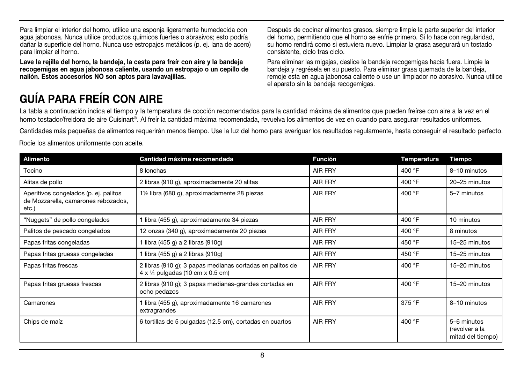Para limpiar el interior del horno, utilice una esponja ligeramente humedecida con agua jabonosa. Nunca utilice productos químicos fuertes o abrasivos; esto podría dañar la superficie del horno. Nunca use estropajos metálicos (p. ej. lana de acero) para limpiar el horno.

**Lave la rejilla del horno, la bandeja, la cesta para freír con aire y la bandeja recogemigas en agua jabonosa caliente, usando un estropajo o un cepillo de nailón. Estos accesorios NO son aptos para lavavajillas.**

Después de cocinar alimentos grasos, siempre limpie la parte superior del interior del horno, permitiendo que el horno se enfríe primero. Si lo hace con regularidad, su horno rendirá como si estuviera nuevo. Limpiar la grasa asegurará un tostado consistente, ciclo tras ciclo.

Para eliminar las migajas, deslice la bandeja recogemigas hacia fuera. Limpie la bandeja y regrésela en su puesto. Para eliminar grasa quemada de la bandeja, remoje esta en agua jabonosa caliente o use un limpiador no abrasivo. Nunca utilice el aparato sin la bandeja recogemigas.

# **GUÍA PARA FREÍR CON AIRE**

La tabla a continuación indica el tiempo y la temperatura de cocción recomendados para la cantidad máxima de alimentos que pueden freírse con aire a la vez en el horno tostador/freidora de aire Cuisinart®. Al freír la cantidad máxima recomendada, revuelva los alimentos de vez en cuando para asegurar resultados uniformes.

Cantidades más pequeñas de alimentos requerirán menos tiempo. Use la luz del horno para averiguar los resultados regularmente, hasta conseguir el resultado perfecto.

Rocíe los alimentos uniformente con aceite.

| Alimento                                                                              | Cantidad máxima recomendada                                                                           | <b>Función</b> | Temperatura | Tiempo                                             |
|---------------------------------------------------------------------------------------|-------------------------------------------------------------------------------------------------------|----------------|-------------|----------------------------------------------------|
| Tocino                                                                                | 8 lonchas                                                                                             | <b>AIR FRY</b> | 400 °F      | 8-10 minutos                                       |
| Alitas de pollo                                                                       | 2 libras (910 g), aproximadamente 20 alitas                                                           | <b>AIR FRY</b> | 400 °F      | 20-25 minutos                                      |
| Aperitivos congelados (p. ej. palitos<br>de Mozzarella, camarones rebozados,<br>etc.) | 1 <sup>1</sup> / <sub>2</sub> libra (680 g), aproximadamente 28 piezas                                | <b>AIR FRY</b> | 400 °F      | 5-7 minutos                                        |
| "Nuggets" de pollo congelados                                                         | 1 libra (455 g), aproximadamente 34 piezas                                                            | <b>AIR FRY</b> | 400 °F      | 10 minutos                                         |
| Palitos de pescado congelados                                                         | 12 onzas (340 g), aproximadamente 20 piezas                                                           | <b>AIR FRY</b> | 400 °F      | 8 minutos                                          |
| Papas fritas congeladas                                                               | 1 libra (455 g) a 2 libras (910g)                                                                     | <b>AIR FRY</b> | 450 °F      | 15-25 minutos                                      |
| Papas fritas gruesas congeladas                                                       | 1 libra (455 g) a 2 libras (910g)                                                                     | <b>AIR FRY</b> | 450 °F      | 15-25 minutos                                      |
| Papas fritas frescas                                                                  | 2 libras (910 g); 3 papas medianas cortadas en palitos de<br>$4 \times$ 1/4 pulgadas (10 cm x 0.5 cm) | <b>AIR FRY</b> | 400 °F      | 15-20 minutos                                      |
| Papas fritas gruesas frescas                                                          | 2 libras (910 g); 3 papas medianas-grandes cortadas en<br>ocho pedazos                                | <b>AIR FRY</b> | 400 °F      | 15-20 minutos                                      |
| Camarones                                                                             | 1 libra (455 g), aproximadamente 16 camarones<br>extragrandes                                         | <b>AIR FRY</b> | 375 °F      | 8-10 minutos                                       |
| Chips de maíz                                                                         | 6 tortillas de 5 pulgadas (12.5 cm), cortadas en cuartos                                              | <b>AIR FRY</b> | 400 °F      | 5-6 minutos<br>(revolver a la<br>mitad del tiempo) |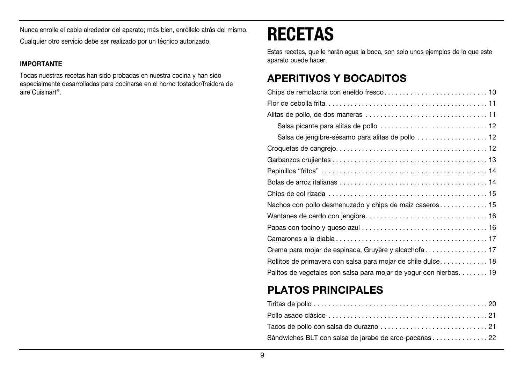Nunca enrolle el cable alrededor del aparato; más bien, enróllelo atrás del mismo. Cualquier otro servicio debe ser realizado por un técnico autorizado.

### **IMPORTANTE**

Todas nuestras recetas han sido probadas en nuestra cocina y han sido especialmente desarrolladas para cocinarse en el horno tostador/freidora de aire Cuisinart®.

# **RECETAS**

Estas recetas, que le harán agua la boca, son solo unos ejemplos de lo que este aparato puede hacer.

## **APERITIVOS Y BOCADITOS**

| Rollitos de primavera con salsa para mojar de chile dulce 18      |
|-------------------------------------------------------------------|
| Palitos de vegetales con salsa para mojar de yogur con hierbas 19 |

# **PLATOS PRINCIPALES**

| Sándwiches BLT con salsa de jarabe de arce-pacanas22 |
|------------------------------------------------------|
|                                                      |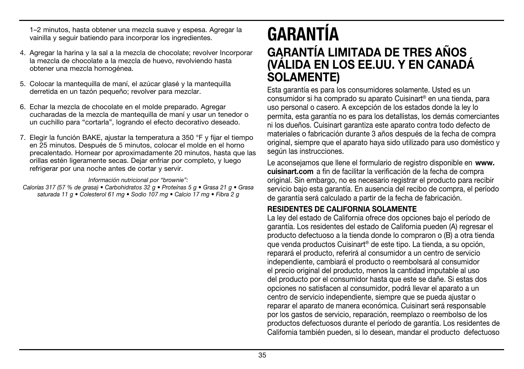1–2 minutos, hasta obtener una mezcla suave y espesa. Agregar la vainilla y seguir batiendo para incorporar los ingredientes.

- 4. Agregar la harina y la sal a la mezcla de chocolate; revolver Incorporar la mezcla de chocolate a la mezcla de huevo, revolviendo hasta obtener una mezcla homogénea.
- 5. Colocar la mantequilla de maní, el azúcar glasé y la mantequilla derretida en un tazón pequeño; revolver para mezclar.
- 6. Echar la mezcla de chocolate en el molde preparado. Agregar cucharadas de la mezcla de mantequilla de maní y usar un tenedor o un cuchillo para "cortarla", logrando el efecto decorativo deseado.
- 7. Elegir la función BAKE, ajustar la temperatura a 350 °F y fijar el tiempo en 25 minutos. Después de 5 minutos, colocar el molde en el horno precalentado. Hornear por aproximadamente 20 minutos, hasta que las orillas estén ligeramente secas. Dejar enfriar por completo, y luego refrigerar por una noche antes de cortar y servir.

Información nutricional por "brownie":

Calorías 317 (57 % de grasa) • Carbohidratos 32 g • Proteínas 5 g • Grasa 21 g • Grasa saturada 11 g · Colesterol 61 mg · Sodio 107 mg · Calcio 17 mg · Fibra 2 g

# **GARANTÍA GARANTÍA LIMITADA DE TRES AÑOS (VÁLIDA EN LOS EE.UU. Y EN CANADÁ SOLAMENTE)**

Esta garantía es para los consumidores solamente. Usted es un consumidor si ha comprado su aparato Cuisinart® en una tienda, para uso personal o casero. A excepción de los estados donde la ley lo permita, esta garantía no es para los detallistas, los demás comerciantes ni los dueños. Cuisinart garantiza este aparato contra todo defecto de materiales o fabricación durante 3 años después de la fecha de compra original, siempre que el aparato haya sido utilizado para uso doméstico y según las instrucciones.

Le aconsejamos que llene el formulario de registro disponible en **www. cuisinart.com** a fin de facilitar la verificación de la fecha de compra original. Sin embargo, no es necesario registrar el producto para recibir servicio bajo esta garantía. En ausencia del recibo de compra, el período de garantía será calculado a partir de la fecha de fabricación.

## **RESIDENTES DE CALIFORNIA SOLAMENTE**

La ley del estado de California ofrece dos opciones bajo el período de garantía. Los residentes del estado de California pueden (A) regresar el producto defectuoso a la tienda donde lo compraron o (B) a otra tienda que venda productos Cuisinart® de este tipo. La tienda, a su opción, reparará el producto, referirá al consumidor a un centro de servicio independiente, cambiará el producto o reembolsará al consumidor el precio original del producto, menos la cantidad imputable al uso del producto por el consumidor hasta que este se dañe. Si estas dos opciones no satisfacen al consumidor, podrá llevar el aparato a un centro de servicio independiente, siempre que se pueda ajustar o reparar el aparato de manera económica. Cuisinart será responsable por los gastos de servicio, reparación, reemplazo o reembolso de los productos defectuosos durante el período de garantía. Los residentes de California también pueden, si lo desean, mandar el producto defectuoso